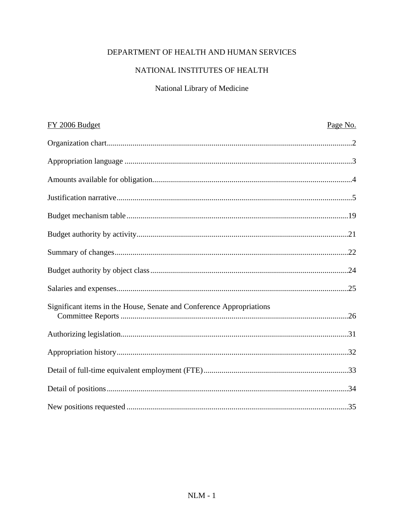# DEPARTMENT OF HEALTH AND HUMAN SERVICES

# NATIONAL INSTITUTES OF HEALTH

# National Library of Medicine

| FY 2006 Budget                                                       | Page No. |
|----------------------------------------------------------------------|----------|
|                                                                      |          |
|                                                                      |          |
|                                                                      |          |
|                                                                      |          |
|                                                                      |          |
|                                                                      |          |
|                                                                      |          |
|                                                                      |          |
|                                                                      |          |
| Significant items in the House, Senate and Conference Appropriations |          |
|                                                                      |          |
|                                                                      |          |
|                                                                      |          |
|                                                                      |          |
|                                                                      |          |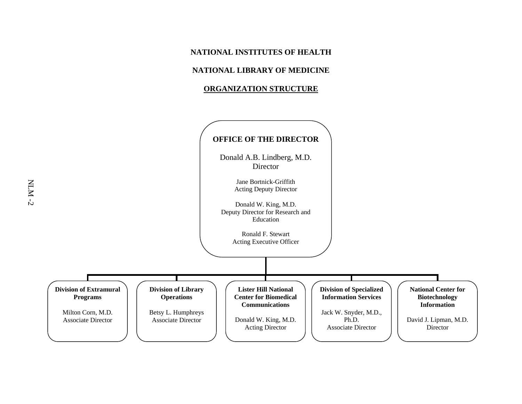### **NATIONAL LIBRARY OF MEDICINE**

#### **ORGANIZATION STRUCTURE**

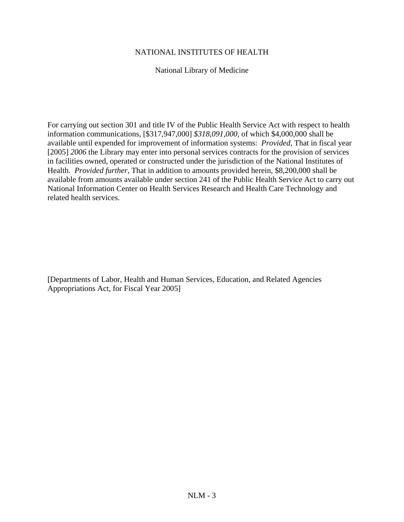National Library of Medicine

For carrying out section 301 and title IV of the Public Health Service Act with respect to health information communications, [\$317,947,000] *\$318,091,000,* of which \$4,000,000 shall be available until expended for improvement of information systems: *Provided*, That in fiscal year [2005] *2006* the Library may enter into personal services contracts for the provision of services in facilities owned, operated or constructed under the jurisdiction of the National Institutes of Health. *Provided further*, That in addition to amounts provided herein, \$8,200,000 shall be available from amounts available under section 241 of the Public Health Service Act to carry out National Information Center on Health Services Research and Health Care Technology and related health services.

[Departments of Labor, Health and Human Services, Education, and Related Agencies Appropriations Act, for Fiscal Year 2005]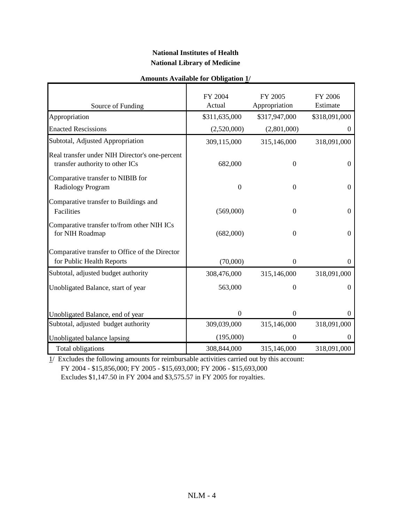## **National Institutes of Health National Library of Medicine**

| <b>Amounts Available for Obligation 1/</b> |  |  |
|--------------------------------------------|--|--|
|--------------------------------------------|--|--|

|                                                                                   | FY 2004<br>Actual | FY 2005<br>Appropriation | FY 2006<br>Estimate |
|-----------------------------------------------------------------------------------|-------------------|--------------------------|---------------------|
| Source of Funding                                                                 |                   |                          |                     |
| Appropriation                                                                     | \$311,635,000     | \$317,947,000            | \$318,091,000       |
| <b>Enacted Rescissions</b>                                                        | (2,520,000)       | (2,801,000)              | $\mathbf{0}$        |
| Subtotal, Adjusted Appropriation                                                  | 309,115,000       | 315,146,000              | 318,091,000         |
| Real transfer under NIH Director's one-percent<br>transfer authority to other ICs | 682,000           | $\boldsymbol{0}$         | 0                   |
| Comparative transfer to NIBIB for<br>Radiology Program                            | $\overline{0}$    | $\Omega$                 | $\Omega$            |
| Comparative transfer to Buildings and<br>Facilities                               | (569,000)         | $\overline{0}$           | $\boldsymbol{0}$    |
| Comparative transfer to/from other NIH ICs<br>for NIH Roadmap                     | (682,000)         | $\boldsymbol{0}$         | $\boldsymbol{0}$    |
| Comparative transfer to Office of the Director                                    |                   |                          |                     |
| for Public Health Reports                                                         | (70,000)          | $\boldsymbol{0}$         | 0                   |
| Subtotal, adjusted budget authority                                               | 308,476,000       | 315,146,000              | 318,091,000         |
| Unobligated Balance, start of year                                                | 563,000           | $\theta$                 | $\Omega$            |
| Unobligated Balance, end of year                                                  | $\boldsymbol{0}$  | $\boldsymbol{0}$         | 0                   |
| Subtotal, adjusted budget authority                                               | 309,039,000       | 315,146,000              | 318,091,000         |
| Unobligated balance lapsing                                                       | (195,000)         | $\overline{0}$           |                     |
| Total obligations                                                                 | 308,844,000       | 315,146,000              | 318,091,000         |

1 / Excludes the following amounts for reimbursable activities carried out by this account: FY 2004 - \$15,856,000; FY 2005 - \$15,693,000; FY 2006 - \$15,693,000 Excludes \$1,147.50 in FY 2004 and \$3,575.57 in FY 2005 for royalties.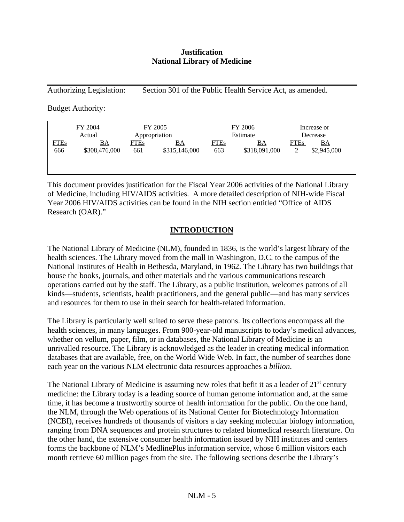### **Justification National Library of Medicine**

Authorizing Legislation: Section 301 of the Public Health Service Act, as amended.

Budget Authority:

|                    | FY 2004<br>FY 2005<br>Appropriation<br>Actual |                    |                            | FY 2006<br>Estimate | Increase or<br>Decrease |                  |                                 |
|--------------------|-----------------------------------------------|--------------------|----------------------------|---------------------|-------------------------|------------------|---------------------------------|
| <b>FTEs</b><br>666 | <u>BA</u><br>\$308,476,000                    | <b>FTEs</b><br>661 | <u>BA</u><br>\$315,146,000 | <b>FTEs</b><br>663  | ВA<br>\$318,091,000     | <b>FTEs</b><br>2 | $\underline{BA}$<br>\$2,945,000 |
|                    |                                               |                    |                            |                     |                         |                  |                                 |

This document provides justification for the Fiscal Year 2006 activities of the National Library of Medicine, including HIV/AIDS activities. A more detailed description of NIH-wide Fiscal Year 2006 HIV/AIDS activities can be found in the NIH section entitled "Office of AIDS Research (OAR)."

## **INTRODUCTION**

The National Library of Medicine (NLM), founded in 1836, is the world's largest library of the health sciences. The Library moved from the mall in Washington, D.C. to the campus of the National Institutes of Health in Bethesda, Maryland, in 1962. The Library has two buildings that house the books, journals, and other materials and the various communications research operations carried out by the staff. The Library, as a public institution, welcomes patrons of all kinds—students, scientists, health practitioners, and the general public—and has many services and resources for them to use in their search for health-related information.

The Library is particularly well suited to serve these patrons. Its collections encompass all the health sciences, in many languages. From 900-year-old manuscripts to today's medical advances, whether on vellum, paper, film, or in databases, the National Library of Medicine is an unrivalled resource. The Library is acknowledged as the leader in creating medical information databases that are available, free, on the World Wide Web. In fact, the number of searches done each year on the various NLM electronic data resources approaches a *billion*.

The National Library of Medicine is assuming new roles that befit it as a leader of  $21<sup>st</sup>$  century medicine: the Library today is a leading source of human genome information and, at the same time, it has become a trustworthy source of health information for the public. On the one hand, the NLM, through the Web operations of its National Center for Biotechnology Information (NCBI), receives hundreds of thousands of visitors a day seeking molecular biology information, ranging from DNA sequences and protein structures to related biomedical research literature. On the other hand, the extensive consumer health information issued by NIH institutes and centers forms the backbone of NLM's MedlinePlus information service, whose 6 million visitors each month retrieve 60 million pages from the site. The following sections describe the Library's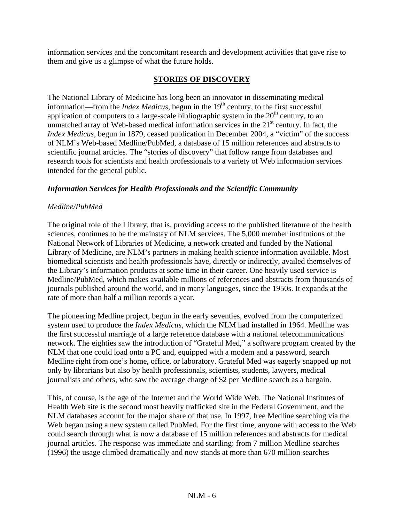information services and the concomitant research and development activities that gave rise to them and give us a glimpse of what the future holds.

## **STORIES OF DISCOVERY**

The National Library of Medicine has long been an innovator in disseminating medical information—from the *Index Medicus*, begun in the  $19<sup>th</sup>$  century, to the first successful application of computers to a large-scale bibliographic system in the  $20<sup>th</sup>$  century, to an unmatched array of Web-based medical information services in the  $21<sup>st</sup>$  century. In fact, the *Index Medicus*, begun in 1879, ceased publication in December 2004, a "victim" of the success of NLM's Web-based Medline/PubMed, a database of 15 million references and abstracts to scientific journal articles. The "stories of discovery" that follow range from databases and research tools for scientists and health professionals to a variety of Web information services intended for the general public.

### *Information Services for Health Professionals and the Scientific Community*

### *Medline/PubMed*

The original role of the Library, that is, providing access to the published literature of the health sciences, continues to be the mainstay of NLM services. The 5,000 member institutions of the National Network of Libraries of Medicine, a network created and funded by the National Library of Medicine, are NLM's partners in making health science information available. Most biomedical scientists and health professionals have, directly or indirectly, availed themselves of the Library's information products at some time in their career. One heavily used service is Medline/PubMed, which makes available millions of references and abstracts from thousands of journals published around the world, and in many languages, since the 1950s. It expands at the rate of more than half a million records a year.

The pioneering Medline project, begun in the early seventies, evolved from the computerized system used to produce the *Index Medicus*, which the NLM had installed in 1964. Medline was the first successful marriage of a large reference database with a national telecommunications network. The eighties saw the introduction of "Grateful Med," a software program created by the NLM that one could load onto a PC and, equipped with a modem and a password, search Medline right from one's home, office, or laboratory. Grateful Med was eagerly snapped up not only by librarians but also by health professionals, scientists, students, lawyers, medical journalists and others, who saw the average charge of \$2 per Medline search as a bargain.

This, of course, is the age of the Internet and the World Wide Web. The National Institutes of Health Web site is the second most heavily trafficked site in the Federal Government, and the NLM databases account for the major share of that use. In 1997, free Medline searching via the Web began using a new system called PubMed. For the first time, anyone with access to the Web could search through what is now a database of 15 million references and abstracts for medical journal articles. The response was immediate and startling: from 7 million Medline searches (1996) the usage climbed dramatically and now stands at more than 670 million searches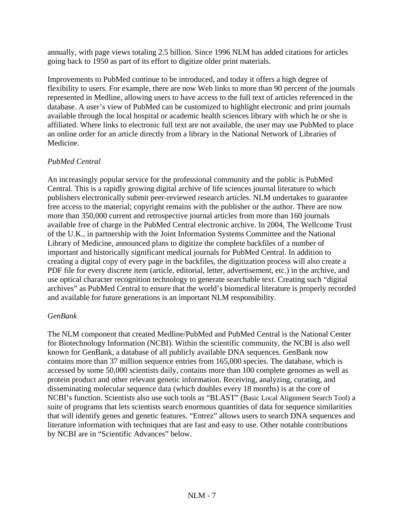annually, with page views totaling 2.5 billion. Since 1996 NLM has added citations for articles going back to 1950 as part of its effort to digitize older print materials.

Improvements to PubMed continue to be introduced, and today it offers a high degree of flexibility to users. For example, there are now Web links to more than 90 percent of the journals represented in Medline, allowing users to have access to the full text of articles referenced in the database. A user's view of PubMed can be customized to highlight electronic and print journals available through the local hospital or academic health sciences library with which he or she is affiliated. Where links to electronic full text are not available, the user may use PubMed to place an online order for an article directly from a library in the National Network of Libraries of Medicine.

## *PubMed Central*

An increasingly popular service for the professional community and the public is PubMed Central. This is a rapidly growing digital archive of life sciences journal literature to which publishers electronically submit peer-reviewed research articles. NLM undertakes to guarantee free access to the material; copyright remains with the publisher or the author. There are now more than 350,000 current and retrospective journal articles from more than 160 journals available free of charge in the PubMed Central electronic archive. In 2004, The Wellcome Trust of the U.K., in partnership with the Joint Information Systems Committee and the National Library of Medicine, announced plans to digitize the complete backfiles of a number of important and historically significant medical journals for PubMed Central. In addition to creating a digital copy of every page in the backfiles, the digitization process will also create a PDF file for every discrete item (article, editorial, letter, advertisement, etc.) in the archive, and use optical character recognition technology to generate searchable text. Creating such "digital archives" as PubMed Central to ensure that the world's biomedical literature is properly recorded and available for future generations is an important NLM responsibility.

## *GenBank*

The NLM component that created Medline/PubMed and PubMed Central is the National Center for Biotechnology Information (NCBI). Within the scientific community, the NCBI is also well known for GenBank, a database of all publicly available DNA sequences. GenBank now contains more than 37 million sequence entries from 165,000 species. The database, which is accessed by some 50,000 scientists daily, contains more than 100 complete genomes as well as protein product and other relevant genetic information. Receiving, analyzing, curating, and disseminating molecular sequence data (which doubles every 18 months) is at the core of NCBI's function. Scientists also use such tools as "BLAST" (Basic Local Alignment Search Tool) a suite of programs that lets scientists search enormous quantities of data for sequence similarities that will identify genes and genetic features. "Entrez" allows users to search DNA sequences and literature information with techniques that are fast and easy to use. Other notable contributions by NCBI are in "Scientific Advances" below.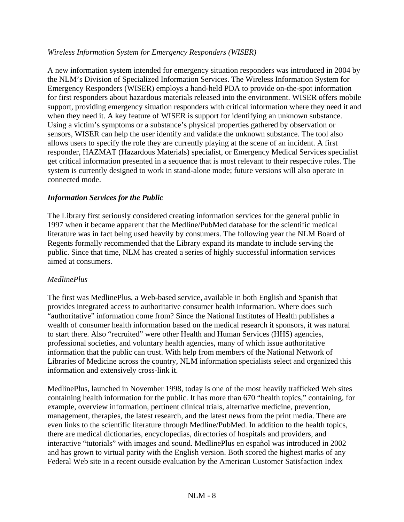## *Wireless Information System for Emergency Responders (WISER)*

A new information system intended for emergency situation responders was introduced in 2004 by the NLM's Division of Specialized Information Services. The Wireless Information System for Emergency Responders (WISER) employs a hand-held PDA to provide on-the-spot information for first responders about hazardous materials released into the environment. WISER offers mobile support, providing emergency situation responders with critical information where they need it and when they need it. A key feature of WISER is support for identifying an unknown substance. Using a victim's symptoms or a substance's physical properties gathered by observation or sensors, WISER can help the user identify and validate the unknown substance. The tool also allows users to specify the role they are currently playing at the scene of an incident. A first responder, HAZMAT (Hazardous Materials) specialist, or Emergency Medical Services specialist get critical information presented in a sequence that is most relevant to their respective roles. The system is currently designed to work in stand-alone mode; future versions will also operate in connected mode.

## *Information Services for the Public*

The Library first seriously considered creating information services for the general public in 1997 when it became apparent that the Medline/PubMed database for the scientific medical literature was in fact being used heavily by consumers. The following year the NLM Board of Regents formally recommended that the Library expand its mandate to include serving the public. Since that time, NLM has created a series of highly successful information services aimed at consumers.

## *MedlinePlus*

The first was MedlinePlus, a Web-based service, available in both English and Spanish that provides integrated access to authoritative consumer health information. Where does such "authoritative" information come from? Since the National Institutes of Health publishes a wealth of consumer health information based on the medical research it sponsors, it was natural to start there. Also "recruited" were other Health and Human Services (HHS) agencies, professional societies, and voluntary health agencies, many of which issue authoritative information that the public can trust. With help from members of the National Network of Libraries of Medicine across the country, NLM information specialists select and organized this information and extensively cross-link it.

MedlinePlus, launched in November 1998, today is one of the most heavily trafficked Web sites containing health information for the public. It has more than 670 "health topics," containing, for example, overview information, pertinent clinical trials, alternative medicine, prevention, management, therapies, the latest research, and the latest news from the print media. There are even links to the scientific literature through Medline/PubMed. In addition to the health topics, there are medical dictionaries, encyclopedias, directories of hospitals and providers, and interactive "tutorials" with images and sound. MedlinePlus en español was introduced in 2002 and has grown to virtual parity with the English version. Both scored the highest marks of any Federal Web site in a recent outside evaluation by the American Customer Satisfaction Index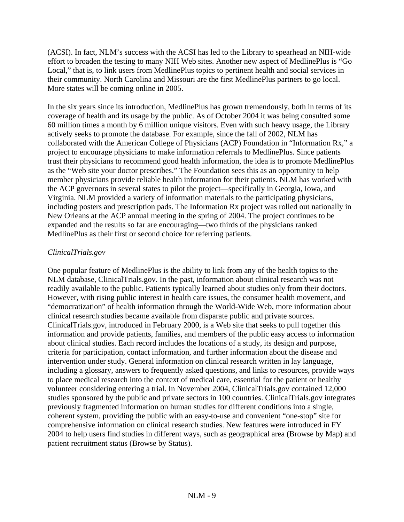(ACSI). In fact, NLM's success with the ACSI has led to the Library to spearhead an NIH-wide effort to broaden the testing to many NIH Web sites. Another new aspect of MedlinePlus is "Go Local," that is, to link users from MedlinePlus topics to pertinent health and social services in their community. North Carolina and Missouri are the first MedlinePlus partners to go local. More states will be coming online in 2005.

In the six years since its introduction, MedlinePlus has grown tremendously, both in terms of its coverage of health and its usage by the public. As of October 2004 it was being consulted some 60 million times a month by 6 million unique visitors. Even with such heavy usage, the Library actively seeks to promote the database. For example, since the fall of 2002, NLM has collaborated with the American College of Physicians (ACP) Foundation in "Information Rx," a project to encourage physicians to make information referrals to MedlinePlus. Since patients trust their physicians to recommend good health information, the idea is to promote MedlinePlus as the "Web site your doctor prescribes." The Foundation sees this as an opportunity to help member physicians provide reliable health information for their patients. NLM has worked with the ACP governors in several states to pilot the project—specifically in Georgia, Iowa, and Virginia. NLM provided a variety of information materials to the participating physicians, including posters and prescription pads. The Information Rx project was rolled out nationally in New Orleans at the ACP annual meeting in the spring of 2004. The project continues to be expanded and the results so far are encouraging—two thirds of the physicians ranked MedlinePlus as their first or second choice for referring patients.

## *ClinicalTrials.gov*

One popular feature of MedlinePlus is the ability to link from any of the health topics to the NLM database, ClinicalTrials.gov. In the past, information about clinical research was not readily available to the public. Patients typically learned about studies only from their doctors. However, with rising public interest in health care issues, the consumer health movement, and "democratization" of health information through the World-Wide Web, more information about clinical research studies became available from disparate public and private sources. ClinicalTrials.gov, introduced in February 2000, is a Web site that seeks to pull together this information and provide patients, families, and members of the public easy access to information about clinical studies. Each record includes the locations of a study, its design and purpose, criteria for participation, contact information, and further information about the disease and intervention under study. General information on clinical research written in lay language, including a glossary, answers to frequently asked questions, and links to resources, provide ways to place medical research into the context of medical care, essential for the patient or healthy volunteer considering entering a trial. In November 2004, ClinicalTrials.gov contained 12,000 studies sponsored by the public and private sectors in 100 countries. ClinicalTrials.gov integrates previously fragmented information on human studies for different conditions into a single, coherent system, providing the public with an easy-to-use and convenient "one-stop" site for comprehensive information on clinical research studies. New features were introduced in FY 2004 to help users find studies in different ways, such as geographical area (Browse by Map) and patient recruitment status (Browse by Status).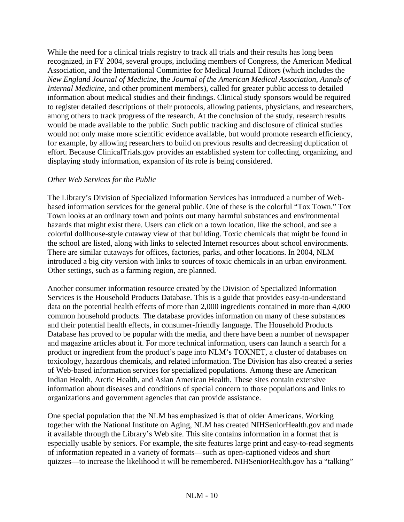While the need for a clinical trials registry to track all trials and their results has long been recognized, in FY 2004, several groups, including members of Congress, the American Medical Association, and the International Committee for Medical Journal Editors (which includes the *New England Journal of Medicine*, the *Journal of the American Medical Association*, *Annals of Internal Medicine*, and other prominent members), called for greater public access to detailed information about medical studies and their findings. Clinical study sponsors would be required to register detailed descriptions of their protocols, allowing patients, physicians, and researchers, among others to track progress of the research. At the conclusion of the study, research results would be made available to the public. Such public tracking and disclosure of clinical studies would not only make more scientific evidence available, but would promote research efficiency, for example, by allowing researchers to build on previous results and decreasing duplication of effort. Because ClinicalTrials.gov provides an established system for collecting, organizing, and displaying study information, expansion of its role is being considered.

### *Other Web Services for the Public*

The Library's Division of Specialized Information Services has introduced a number of Webbased information services for the general public. One of these is the colorful "Tox Town." Tox Town looks at an ordinary town and points out many harmful substances and environmental hazards that might exist there. Users can click on a town location, like the school, and see a colorful dollhouse-style cutaway view of that building. Toxic chemicals that might be found in the school are listed, along with links to selected Internet resources about school environments. There are similar cutaways for offices, factories, parks, and other locations. In 2004, NLM introduced a big city version with links to sources of toxic chemicals in an urban environment. Other settings, such as a farming region, are planned.

Another consumer information resource created by the Division of Specialized Information Services is the Household Products Database. This is a guide that provides easy-to-understand data on the potential health effects of more than 2,000 ingredients contained in more than 4,000 common household products. The database provides information on many of these substances and their potential health effects, in consumer-friendly language. The Household Products Database has proved to be popular with the media, and there have been a number of newspaper and magazine articles about it. For more technical information, users can launch a search for a product or ingredient from the product's page into NLM's TOXNET, a cluster of databases on toxicology, hazardous chemicals, and related information. The Division has also created a series of Web-based information services for specialized populations. Among these are American Indian Health, Arctic Health, and Asian American Health. These sites contain extensive information about diseases and conditions of special concern to those populations and links to organizations and government agencies that can provide assistance.

One special population that the NLM has emphasized is that of older Americans. Working together with the National Institute on Aging, NLM has created NIHSeniorHealth.gov and made it available through the Library's Web site. This site contains information in a format that is especially usable by seniors. For example, the site features large print and easy-to-read segments of information repeated in a variety of formats—such as open-captioned videos and short quizzes—to increase the likelihood it will be remembered. NIHSeniorHealth.gov has a "talking"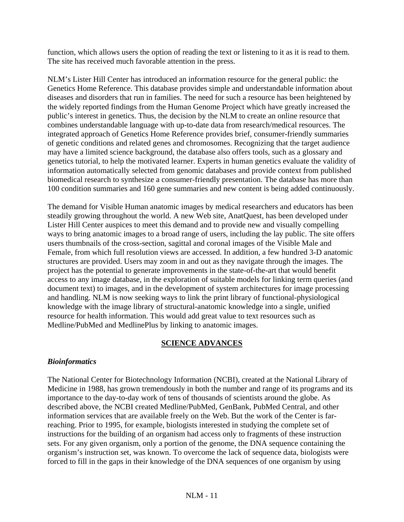function, which allows users the option of reading the text or listening to it as it is read to them. The site has received much favorable attention in the press.

NLM's Lister Hill Center has introduced an information resource for the general public: the Genetics Home Reference. This database provides simple and understandable information about diseases and disorders that run in families. The need for such a resource has been heightened by the widely reported findings from the Human Genome Project which have greatly increased the public's interest in genetics. Thus, the decision by the NLM to create an online resource that combines understandable language with up-to-date data from research/medical resources. The integrated approach of Genetics Home Reference provides brief, consumer-friendly summaries of genetic conditions and related genes and chromosomes. Recognizing that the target audience may have a limited science background, the database also offers tools, such as a glossary and genetics tutorial, to help the motivated learner. Experts in human genetics evaluate the validity of information automatically selected from genomic databases and provide context from published biomedical research to synthesize a consumer-friendly presentation. The database has more than 100 condition summaries and 160 gene summaries and new content is being added continuously.

The demand for Visible Human anatomic images by medical researchers and educators has been steadily growing throughout the world. A new Web site, AnatQuest, has been developed under Lister Hill Center auspices to meet this demand and to provide new and visually compelling ways to bring anatomic images to a broad range of users, including the lay public. The site offers users thumbnails of the cross-section, sagittal and coronal images of the Visible Male and Female, from which full resolution views are accessed. In addition, a few hundred 3-D anatomic structures are provided. Users may zoom in and out as they navigate through the images. The project has the potential to generate improvements in the state-of-the-art that would benefit access to any image database, in the exploration of suitable models for linking term queries (and document text) to images, and in the development of system architectures for image processing and handling. NLM is now seeking ways to link the print library of functional-physiological knowledge with the image library of structural-anatomic knowledge into a single, unified resource for health information. This would add great value to text resources such as Medline/PubMed and MedlinePlus by linking to anatomic images.

## **SCIENCE ADVANCES**

### *Bioinformatics*

The National Center for Biotechnology Information (NCBI), created at the National Library of Medicine in 1988, has grown tremendously in both the number and range of its programs and its importance to the day-to-day work of tens of thousands of scientists around the globe. As described above, the NCBI created Medline/PubMed, GenBank, PubMed Central, and other information services that are available freely on the Web. But the work of the Center is farreaching. Prior to 1995, for example, biologists interested in studying the complete set of instructions for the building of an organism had access only to fragments of these instruction sets. For any given organism, only a portion of the genome, the DNA sequence containing the organism's instruction set, was known. To overcome the lack of sequence data, biologists were forced to fill in the gaps in their knowledge of the DNA sequences of one organism by using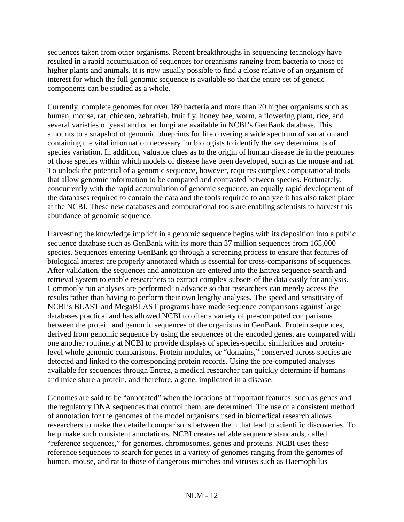sequences taken from other organisms. Recent breakthroughs in sequencing technology have resulted in a rapid accumulation of sequences for organisms ranging from bacteria to those of higher plants and animals. It is now usually possible to find a close relative of an organism of interest for which the full genomic sequence is available so that the entire set of genetic components can be studied as a whole.

Currently, complete genomes for over 180 bacteria and more than 20 higher organisms such as human, mouse, rat, chicken, zebrafish, fruit fly, honey bee, worm, a flowering plant, rice, and several varieties of yeast and other fungi are available in NCBI's GenBank database. This amounts to a snapshot of genomic blueprints for life covering a wide spectrum of variation and containing the vital information necessary for biologists to identify the key determinants of species variation. In addition, valuable clues as to the origin of human disease lie in the genomes of those species within which models of disease have been developed, such as the mouse and rat. To unlock the potential of a genomic sequence, however, requires complex computational tools that allow genomic information to be compared and contrasted between species. Fortunately, concurrently with the rapid accumulation of genomic sequence, an equally rapid development of the databases required to contain the data and the tools required to analyze it has also taken place at the NCBI. These new databases and computational tools are enabling scientists to harvest this abundance of genomic sequence.

Harvesting the knowledge implicit in a genomic sequence begins with its deposition into a public sequence database such as GenBank with its more than 37 million sequences from 165,000 species. Sequences entering GenBank go through a screening process to ensure that features of biological interest are properly annotated which is essential for cross-comparisons of sequences. After validation, the sequences and annotation are entered into the Entrez sequence search and retrieval system to enable researchers to extract complex subsets of the data easily for analysis. Commonly run analyses are performed in advance so that researchers can merely access the results rather than having to perform their own lengthy analyses. The speed and sensitivity of NCBI's BLAST and MegaBLAST programs have made sequence comparisons against large databases practical and has allowed NCBI to offer a variety of pre-computed comparisons between the protein and genomic sequences of the organisms in GenBank. Protein sequences, derived from genomic sequence by using the sequences of the encoded genes, are compared with one another routinely at NCBI to provide displays of species-specific similarities and proteinlevel whole genomic comparisons. Protein modules, or "domains," conserved across species are detected and linked to the corresponding protein records. Using the pre-computed analyses available for sequences through Entrez, a medical researcher can quickly determine if humans and mice share a protein, and therefore, a gene, implicated in a disease.

Genomes are said to be "annotated" when the locations of important features, such as genes and the regulatory DNA sequences that control them, are determined. The use of a consistent method of annotation for the genomes of the model organisms used in biomedical research allows researchers to make the detailed comparisons between them that lead to scientific discoveries. To help make such consistent annotations, NCBI creates reliable sequence standards, called "reference sequences," for genomes, chromosomes, genes and proteins. NCBI uses these reference sequences to search for genes in a variety of genomes ranging from the genomes of human, mouse, and rat to those of dangerous microbes and viruses such as Haemophilus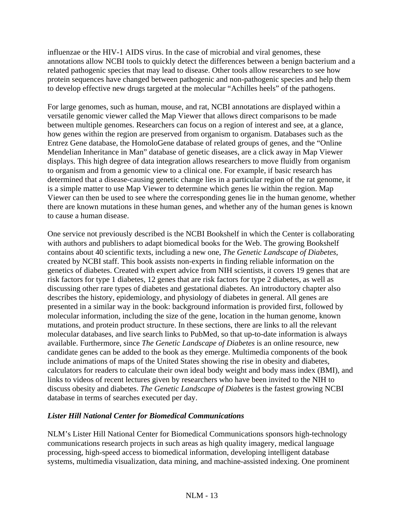influenzae or the HIV-1 AIDS virus. In the case of microbial and viral genomes, these annotations allow NCBI tools to quickly detect the differences between a benign bacterium and a related pathogenic species that may lead to disease. Other tools allow researchers to see how protein sequences have changed between pathogenic and non-pathogenic species and help them to develop effective new drugs targeted at the molecular "Achilles heels" of the pathogens.

For large genomes, such as human, mouse, and rat, NCBI annotations are displayed within a versatile genomic viewer called the Map Viewer that allows direct comparisons to be made between multiple genomes. Researchers can focus on a region of interest and see, at a glance, how genes within the region are preserved from organism to organism. Databases such as the Entrez Gene database, the HomoloGene database of related groups of genes, and the "Online Mendelian Inheritance in Man" database of genetic diseases, are a click away in Map Viewer displays. This high degree of data integration allows researchers to move fluidly from organism to organism and from a genomic view to a clinical one. For example, if basic research has determined that a disease-causing genetic change lies in a particular region of the rat genome, it is a simple matter to use Map Viewer to determine which genes lie within the region. Map Viewer can then be used to see where the corresponding genes lie in the human genome, whether there are known mutations in these human genes, and whether any of the human genes is known to cause a human disease.

One service not previously described is the NCBI Bookshelf in which the Center is collaborating with authors and publishers to adapt biomedical books for the Web. The growing Bookshelf contains about 40 scientific texts, including a new one, *The Genetic Landscape of Diabetes*, created by NCBI staff. This book assists non-experts in finding reliable information on the genetics of diabetes. Created with expert advice from NIH scientists, it covers 19 genes that are risk factors for type 1 diabetes, 12 genes that are risk factors for type 2 diabetes, as well as discussing other rare types of diabetes and gestational diabetes. An introductory chapter also describes the history, epidemiology, and physiology of diabetes in general. All genes are presented in a similar way in the book: background information is provided first, followed by molecular information, including the size of the gene, location in the human genome, known mutations, and protein product structure. In these sections, there are links to all the relevant molecular databases, and live search links to PubMed, so that up-to-date information is always available. Furthermore, since *The Genetic Landscape of Diabetes* is an online resource, new candidate genes can be added to the book as they emerge. Multimedia components of the book include animations of maps of the United States showing the rise in obesity and diabetes, calculators for readers to calculate their own ideal body weight and body mass index (BMI), and links to videos of recent lectures given by researchers who have been invited to the NIH to discuss obesity and diabetes. *The Genetic Landscape of Diabetes* is the fastest growing NCBI database in terms of searches executed per day.

### *Lister Hill National Center for Biomedical Communications*

NLM's Lister Hill National Center for Biomedical Communications sponsors high-technology communications research projects in such areas as high quality imagery, medical language processing, high-speed access to biomedical information, developing intelligent database systems, multimedia visualization, data mining, and machine-assisted indexing. One prominent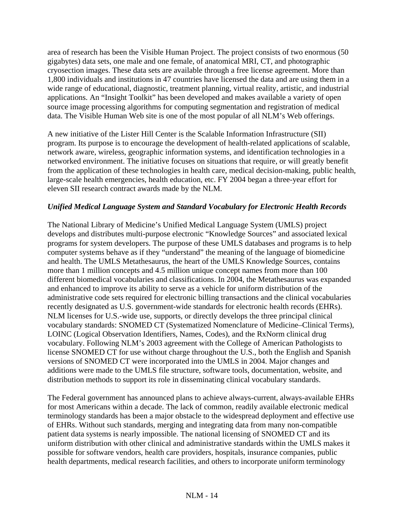area of research has been the Visible Human Project. The project consists of two enormous (50 gigabytes) data sets, one male and one female, of anatomical MRI, CT, and photographic cryosection images. These data sets are available through a free license agreement. More than 1,800 individuals and institutions in 47 countries have licensed the data and are using them in a wide range of educational, diagnostic, treatment planning, virtual reality, artistic, and industrial applications. An "Insight Toolkit" has been developed and makes available a variety of open source image processing algorithms for computing segmentation and registration of medical data. The Visible Human Web site is one of the most popular of all NLM's Web offerings.

A new initiative of the Lister Hill Center is the Scalable Information Infrastructure (SII) program. Its purpose is to encourage the development of health-related applications of scalable, network aware, wireless, geographic information systems, and identification technologies in a networked environment. The initiative focuses on situations that require, or will greatly benefit from the application of these technologies in health care, medical decision-making, public health, large-scale health emergencies, health education, etc. FY 2004 began a three-year effort for eleven SII research contract awards made by the NLM.

## *Unified Medical Language System and Standard Vocabulary for Electronic Health Records*

The National Library of Medicine's Unified Medical Language System (UMLS) project develops and distributes multi-purpose electronic "Knowledge Sources" and associated lexical programs for system developers. The purpose of these UMLS databases and programs is to help computer systems behave as if they "understand" the meaning of the language of biomedicine and health. The UMLS Metathesaurus, the heart of the UMLS Knowledge Sources, contains more than 1 million concepts and 4.5 million unique concept names from more than 100 different biomedical vocabularies and classifications. In 2004, the Metathesaurus was expanded and enhanced to improve its ability to serve as a vehicle for uniform distribution of the administrative code sets required for electronic billing transactions and the clinical vocabularies recently designated as U.S. government-wide standards for electronic health records (EHRs). NLM licenses for U.S.-wide use, supports, or directly develops the three principal clinical vocabulary standards: SNOMED CT (Systematized Nomenclature of Medicine–Clinical Terms), LOINC (Logical Observation Identifiers, Names, Codes), and the RxNorm clinical drug vocabulary. Following NLM's 2003 agreement with the College of American Pathologists to license SNOMED CT for use without charge throughout the U.S., both the English and Spanish versions of SNOMED CT were incorporated into the UMLS in 2004. Major changes and additions were made to the UMLS file structure, software tools, documentation, website, and distribution methods to support its role in disseminating clinical vocabulary standards.

The Federal government has announced plans to achieve always-current, always-available EHRs for most Americans within a decade. The lack of common, readily available electronic medical terminology standards has been a major obstacle to the widespread deployment and effective use of EHRs. Without such standards, merging and integrating data from many non-compatible patient data systems is nearly impossible. The national licensing of SNOMED CT and its uniform distribution with other clinical and administrative standards within the UMLS makes it possible for software vendors, health care providers, hospitals, insurance companies, public health departments, medical research facilities, and others to incorporate uniform terminology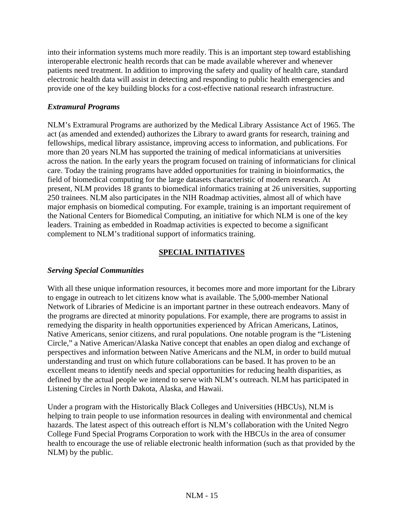into their information systems much more readily. This is an important step toward establishing interoperable electronic health records that can be made available wherever and whenever patients need treatment. In addition to improving the safety and quality of health care, standard electronic health data will assist in detecting and responding to public health emergencies and provide one of the key building blocks for a cost-effective national research infrastructure.

## *Extramural Programs*

NLM's Extramural Programs are authorized by the Medical Library Assistance Act of 1965. The act (as amended and extended) authorizes the Library to award grants for research, training and fellowships, medical library assistance, improving access to information, and publications. For more than 20 years NLM has supported the training of medical informaticians at universities across the nation. In the early years the program focused on training of informaticians for clinical care. Today the training programs have added opportunities for training in bioinformatics, the field of biomedical computing for the large datasets characteristic of modern research. At present, NLM provides 18 grants to biomedical informatics training at 26 universities, supporting 250 trainees. NLM also participates in the NIH Roadmap activities, almost all of which have major emphasis on biomedical computing. For example, training is an important requirement of the National Centers for Biomedical Computing, an initiative for which NLM is one of the key leaders. Training as embedded in Roadmap activities is expected to become a significant complement to NLM's traditional support of informatics training.

## **SPECIAL INITIATIVES**

## *Serving Special Communities*

With all these unique information resources, it becomes more and more important for the Library to engage in outreach to let citizens know what is available. The 5,000-member National Network of Libraries of Medicine is an important partner in these outreach endeavors. Many of the programs are directed at minority populations. For example, there are programs to assist in remedying the disparity in health opportunities experienced by African Americans, Latinos, Native Americans, senior citizens, and rural populations. One notable program is the "Listening Circle," a Native American/Alaska Native concept that enables an open dialog and exchange of perspectives and information between Native Americans and the NLM, in order to build mutual understanding and trust on which future collaborations can be based. It has proven to be an excellent means to identify needs and special opportunities for reducing health disparities, as defined by the actual people we intend to serve with NLM's outreach. NLM has participated in Listening Circles in North Dakota, Alaska, and Hawaii.

Under a program with the Historically Black Colleges and Universities (HBCUs), NLM is helping to train people to use information resources in dealing with environmental and chemical hazards. The latest aspect of this outreach effort is NLM's collaboration with the United Negro College Fund Special Programs Corporation to work with the HBCUs in the area of consumer health to encourage the use of reliable electronic health information (such as that provided by the NLM) by the public.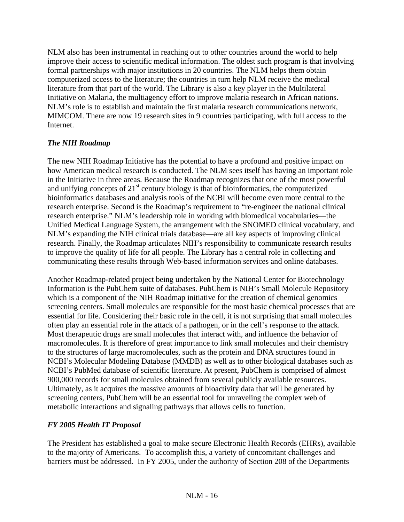NLM also has been instrumental in reaching out to other countries around the world to help improve their access to scientific medical information. The oldest such program is that involving formal partnerships with major institutions in 20 countries. The NLM helps them obtain computerized access to the literature; the countries in turn help NLM receive the medical literature from that part of the world. The Library is also a key player in the Multilateral Initiative on Malaria, the multiagency effort to improve malaria research in African nations. NLM's role is to establish and maintain the first malaria research communications network, MIMCOM. There are now 19 research sites in 9 countries participating, with full access to the Internet.

## *The NIH Roadmap*

The new NIH Roadmap Initiative has the potential to have a profound and positive impact on how American medical research is conducted. The NLM sees itself has having an important role in the Initiative in three areas. Because the Roadmap recognizes that one of the most powerful and unifying concepts of  $21<sup>st</sup>$  century biology is that of bioinformatics, the computerized bioinformatics databases and analysis tools of the NCBI will become even more central to the research enterprise. Second is the Roadmap's requirement to "re-engineer the national clinical research enterprise." NLM's leadership role in working with biomedical vocabularies—the Unified Medical Language System, the arrangement with the SNOMED clinical vocabulary, and NLM's expanding the NIH clinical trials database—are all key aspects of improving clinical research. Finally, the Roadmap articulates NIH's responsibility to communicate research results to improve the quality of life for all people. The Library has a central role in collecting and communicating these results through Web-based information services and online databases.

Another Roadmap-related project being undertaken by the National Center for Biotechnology Information is the PubChem suite of databases. PubChem is NIH's Small Molecule Repository which is a component of the NIH Roadmap initiative for the creation of chemical genomics screening centers. Small molecules are responsible for the most basic chemical processes that are essential for life. Considering their basic role in the cell, it is not surprising that small molecules often play an essential role in the attack of a pathogen, or in the cell's response to the attack. Most therapeutic drugs are small molecules that interact with, and influence the behavior of macromolecules. It is therefore of great importance to link small molecules and their chemistry to the structures of large macromolecules, such as the protein and DNA structures found in NCBI's Molecular Modeling Database (MMDB) as well as to other biological databases such as NCBI's PubMed database of scientific literature. At present, PubChem is comprised of almost 900,000 records for small molecules obtained from several publicly available resources. Ultimately, as it acquires the massive amounts of bioactivity data that will be generated by screening centers, PubChem will be an essential tool for unraveling the complex web of metabolic interactions and signaling pathways that allows cells to function.

## *FY 2005 Health IT Proposal*

The President has established a goal to make secure Electronic Health Records (EHRs), available to the majority of Americans. To accomplish this, a variety of concomitant challenges and barriers must be addressed. In FY 2005, under the authority of Section 208 of the Departments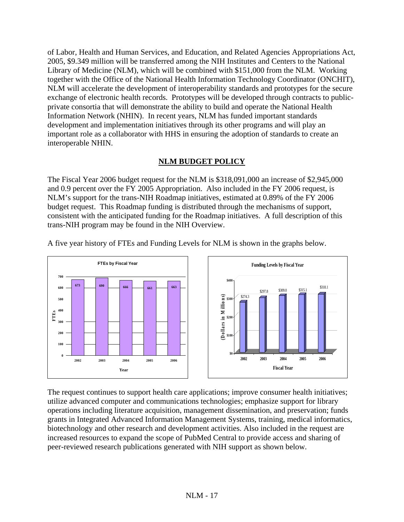of Labor, Health and Human Services, and Education, and Related Agencies Appropriations Act, 2005, \$9.349 million will be transferred among the NIH Institutes and Centers to the National Library of Medicine (NLM), which will be combined with \$151,000 from the NLM. Working together with the Office of the National Health Information Technology Coordinator (ONCHIT), NLM will accelerate the development of interoperability standards and prototypes for the secure exchange of electronic health records. Prototypes will be developed through contracts to publicprivate consortia that will demonstrate the ability to build and operate the National Health Information Network (NHIN). In recent years, NLM has funded important standards development and implementation initiatives through its other programs and will play an important role as a collaborator with HHS in ensuring the adoption of standards to create an interoperable NHIN.

## **NLM BUDGET POLICY**

The Fiscal Year 2006 budget request for the NLM is \$318,091,000 an increase of \$2,945,000 and 0.9 percent over the FY 2005 Appropriation. Also included in the FY 2006 request, is NLM's support for the trans-NIH Roadmap initiatives, estimated at 0.89% of the FY 2006 budget request. This Roadmap funding is distributed through the mechanisms of support, consistent with the anticipated funding for the Roadmap initiatives. A full description of this trans-NIH program may be found in the NIH Overview.



A five year history of FTEs and Funding Levels for NLM is shown in the graphs below.

The request continues to support health care applications; improve consumer health initiatives; utilize advanced computer and communications technologies; emphasize support for library operations including literature acquisition, management dissemination, and preservation; funds grants in Integrated Advanced Information Management Systems, training, medical informatics, biotechnology and other research and development activities. Also included in the request are increased resources to expand the scope of PubMed Central to provide access and sharing of peer-reviewed research publications generated with NIH support as shown below.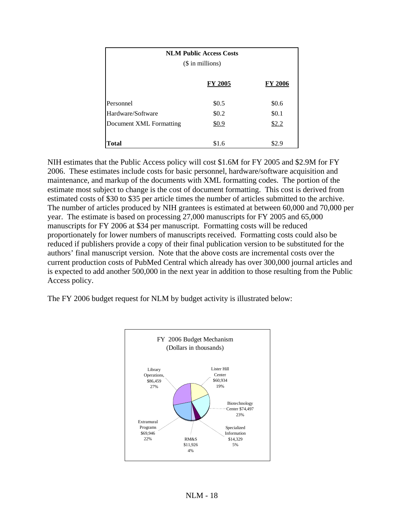| <b>NLM Public Access Costs</b> |                |         |  |  |  |  |
|--------------------------------|----------------|---------|--|--|--|--|
| $($$ in millions)              |                |         |  |  |  |  |
|                                | <b>FY 2005</b> | FY 2006 |  |  |  |  |
| Personnel                      | \$0.5          | \$0.6   |  |  |  |  |
| Hardware/Software              | \$0.2          | \$0.1   |  |  |  |  |
| Document XML Formatting        | \$0.9          | \$2.2   |  |  |  |  |
|                                |                |         |  |  |  |  |
| Total                          | \$1.6          | \$2.9   |  |  |  |  |

NIH estimates that the Public Access policy will cost \$1.6M for FY 2005 and \$2.9M for FY 2006. These estimates include costs for basic personnel, hardware/software acquisition and maintenance, and markup of the documents with XML formatting codes. The portion of the estimate most subject to change is the cost of document formatting. This cost is derived from estimated costs of \$30 to \$35 per article times the number of articles submitted to the archive. The number of articles produced by NIH grantees is estimated at between 60,000 and 70,000 per year. The estimate is based on processing 27,000 manuscripts for FY 2005 and 65,000 manuscripts for FY 2006 at \$34 per manuscript. Formatting costs will be reduced proportionately for lower numbers of manuscripts received. Formatting costs could also be reduced if publishers provide a copy of their final publication version to be substituted for the authors' final manuscript version. Note that the above costs are incremental costs over the current production costs of PubMed Central which already has over 300,000 journal articles and is expected to add another 500,000 in the next year in addition to those resulting from the Public Access policy.

The FY 2006 budget request for NLM by budget activity is illustrated below:

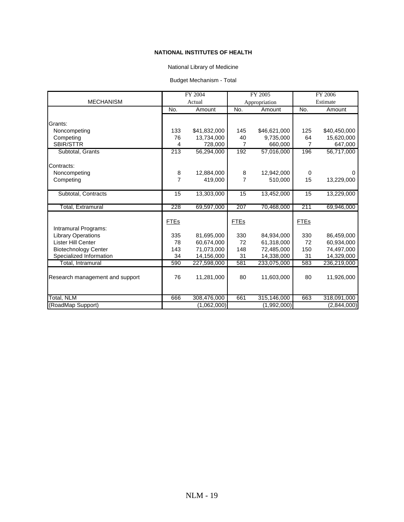### National Library of Medicine

### Budget Mechanism - Total

|                                 | FY 2004             |              | FY 2005             |               | FY 2006     |              |
|---------------------------------|---------------------|--------------|---------------------|---------------|-------------|--------------|
| <b>MECHANISM</b>                |                     | Actual       |                     | Appropriation |             | Estimate     |
|                                 | No.                 | Amount       | No.                 | Amount        | No.         | Amount       |
|                                 |                     |              |                     |               |             |              |
| Grants:                         |                     |              |                     |               |             |              |
| Noncompeting                    | 133                 | \$41,832,000 | 145                 | \$46,621,000  | 125         | \$40,450,000 |
| Competing                       | 76                  | 13,734,000   | 40                  | 9,735,000     | 64          | 15,620,000   |
| <b>SBIR/STTR</b>                | 4                   | 728,000      | $\overline{7}$      | 660,000       | 7           | 647,000      |
| Subtotal, Grants                | 213                 | 56,294,000   | 192                 | 57,016,000    | 196         | 56,717,000   |
| Contracts:                      |                     |              |                     |               |             |              |
|                                 |                     | 12,884,000   |                     | 12,942,000    |             |              |
| Noncompeting                    | 8<br>$\overline{7}$ |              | 8<br>$\overline{7}$ |               | 0           | 0            |
| Competing                       |                     | 419,000      |                     | 510,000       | 15          | 13,229,000   |
| Subtotal, Contracts             | 15                  | 13,303,000   | 15                  | 13,452,000    | 15          | 13,229,000   |
|                                 |                     |              |                     |               |             |              |
| Total, Extramural               | 228                 | 69,597,000   | 207                 | 70,468,000    | 211         | 69,946,000   |
|                                 |                     |              |                     |               |             |              |
|                                 | <b>FTEs</b>         |              | <b>FTEs</b>         |               | <b>FTEs</b> |              |
| Intramural Programs:            |                     |              |                     |               |             |              |
| <b>Library Operations</b>       | 335                 | 81,695,000   | 330                 | 84,934,000    | 330         | 86,459,000   |
| Lister Hill Center              | 78                  | 60,674,000   | 72                  | 61,318,000    | 72          | 60,934,000   |
| <b>Biotechnology Center</b>     | 143                 | 71,073,000   | 148                 | 72,485,000    | 150         | 74,497,000   |
| Specialized Information         | 34                  | 14,156,000   | 31                  | 14,338,000    | 31          | 14,329,000   |
| Total, Intramural               | 590                 | 227,598,000  | 581                 | 233,075,000   | 583         | 236,219,000  |
| Research management and support | 76                  | 11,281,000   | 80                  | 11,603,000    | 80          | 11,926,000   |
| Total, NLM                      | 666                 | 308,476,000  | 661                 | 315,146,000   | 663         | 318,091,000  |
| (RoadMap Support)               |                     | (1,062,000)  |                     | (1,992,000)   |             | (2,844,000)  |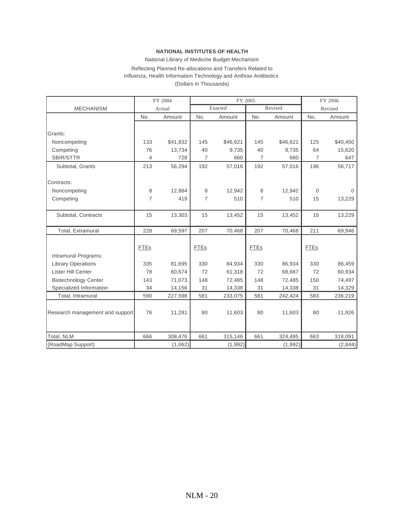#### National Library of Medicine Budget Mechanism

### Reflecting Planned Re-allocations and Transfers Related to Influenza, Health Information Technology and Anthrax Antibiotics

(Dollars in Thousands)

|                                 |                | FY 2004  |                | FY 2005  |                |          | FY 2006        |          |
|---------------------------------|----------------|----------|----------------|----------|----------------|----------|----------------|----------|
| <b>MECHANISM</b>                |                | Actual   |                | Enacted  |                | Revised  | Revised        |          |
|                                 | No.            | Amount   | No.            | Amount   | No.            | Amount   | No.            | Amount   |
|                                 |                |          |                |          |                |          |                |          |
| Grants:                         |                |          |                |          |                |          |                |          |
| Noncompeting                    | 133            | \$41,832 | 145            | \$46,621 | 145            | \$46,621 | 125            | \$40,450 |
| Competing                       | 76             | 13,734   | 40             | 9,735    | 40             | 9,735    | 64             | 15,620   |
| SBIR/STTR                       | 4              | 728      | $\overline{7}$ | 660      | $\overline{7}$ | 660      | $\overline{7}$ | 647      |
| Subtotal, Grants                | 213            | 56,294   | 192            | 57,016   | 192            | 57,016   | 196            | 56,717   |
|                                 |                |          |                |          |                |          |                |          |
| Contracts:                      |                |          |                |          |                |          |                |          |
| Noncompeting                    | 8              | 12,884   | 8              | 12,942   | 8              | 12,942   | $\mathbf{0}$   | 0        |
| Competing                       | $\overline{7}$ | 419      | $\overline{7}$ | 510      | $\overline{7}$ | 510      | 15             | 13,229   |
|                                 |                |          |                |          |                |          |                |          |
| Subtotal, Contracts             | 15             | 13,303   | 15             | 13,452   | 15             | 13,452   | 15             | 13,229   |
|                                 |                |          |                |          |                |          |                |          |
| Total, Extramural               | 228            | 69,597   | 207            | 70,468   | 207            | 70,468   | 211            | 69,946   |
|                                 |                |          |                |          |                |          |                |          |
|                                 | <b>FTEs</b>    |          | <b>FTEs</b>    |          | <b>FTEs</b>    |          | <b>FTEs</b>    |          |
| Intramural Programs:            |                |          |                |          |                |          |                |          |
| <b>Library Operations</b>       | 335            | 81,695   | 330            | 84,934   | 330            | 86,934   | 330            | 86,459   |
| Lister Hill Center              | 78             | 60,674   | 72             | 61,318   | 72             | 68,667   | 72             | 60,934   |
| <b>Biotechnology Center</b>     | 143            | 71,073   | 148            | 72,485   | 148            | 72,485   | 150            | 74,497   |
| Specialized Information         | 34             | 14,156   | 31             | 14,338   | 31             | 14,338   | 31             | 14,329   |
| Total, Intramural               | 590            | 227,598  | 581            | 233,075  | 581            | 242,424  | 583            | 236,219  |
|                                 |                |          |                |          |                |          |                |          |
| Research management and support | 76             | 11,281   | 80             | 11,603   | 80             | 11,603   | 80             | 11,926   |
|                                 |                |          |                |          |                |          |                |          |
|                                 |                |          |                |          |                |          |                |          |
| Total, NLM                      | 666            | 308,476  | 661            | 315,146  | 661            | 324,495  | 663            | 318,091  |
| (RoadMap Support)               |                | (1,062)  |                | (1,992)  |                | (1,992)  |                | (2,844)  |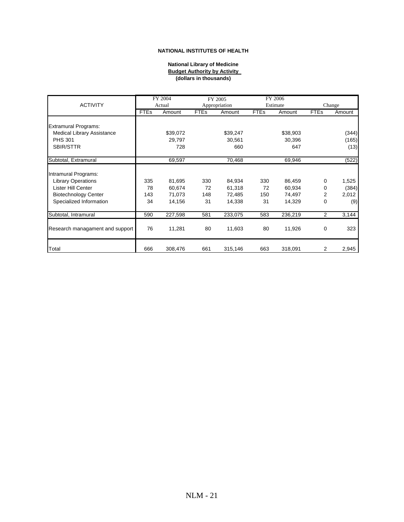#### **National Library of Medicine Budget Authority by Activity (dollars in thousands)**

|                                 |             | FY 2004  |             | FY 2005                   |             | FY 2006  |             |        |
|---------------------------------|-------------|----------|-------------|---------------------------|-------------|----------|-------------|--------|
| <b>ACTIVITY</b>                 |             | Actual   |             | Estimate<br>Appropriation |             |          |             | Change |
|                                 | <b>FTEs</b> | Amount   | <b>FTEs</b> | Amount                    | <b>FTEs</b> | Amount   | <b>FTEs</b> | Amount |
|                                 |             |          |             |                           |             |          |             |        |
| <b>Extramural Programs:</b>     |             |          |             |                           |             |          |             |        |
| Medical Library Assistance      |             | \$39,072 |             | \$39,247                  |             | \$38,903 |             | (344)  |
| <b>PHS 301</b>                  |             | 29,797   |             | 30,561                    |             | 30,396   |             | (165)  |
| SBIR/STTR                       |             | 728      |             | 660                       |             | 647      |             | (13)   |
| Subtotal, Extramural            |             | 69,597   |             | 70,468                    |             | 69,946   |             | (522)  |
|                                 |             |          |             |                           |             |          |             |        |
| Intramural Programs:            |             |          |             |                           |             |          |             |        |
| <b>Library Operations</b>       | 335         | 81,695   | 330         | 84,934                    | 330         | 86,459   | 0           | 1,525  |
| Lister Hill Center              | 78          | 60,674   | 72          | 61,318                    | 72          | 60,934   | 0           | (384)  |
| <b>Biotechnology Center</b>     | 143         | 71,073   | 148         | 72,485                    | 150         | 74,497   | 2           | 2,012  |
| Specialized Information         | 34          | 14,156   | 31          | 14,338                    | 31          | 14,329   | 0           | (9)    |
| Subtotal, Intramural            | 590         | 227,598  | 581         | 233,075                   | 583         | 236,219  | 2           | 3,144  |
|                                 |             |          |             |                           |             |          |             |        |
| Research managament and support | 76          | 11,281   | 80          | 11,603                    | 80          | 11,926   | 0           | 323    |
|                                 |             |          |             |                           |             |          |             |        |
| Total                           | 666         | 308,476  | 661         | 315,146                   | 663         | 318,091  | 2           | 2,945  |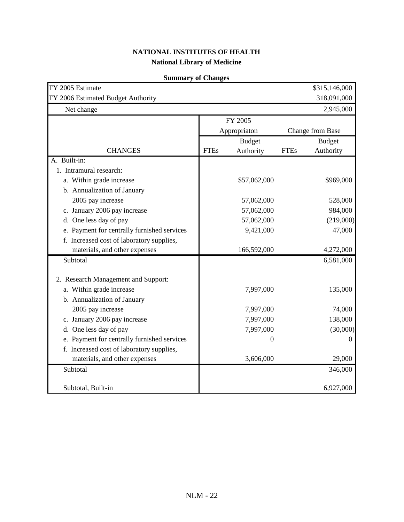| FY 2005 Estimate<br>FY 2006 Estimated Budget Authority |             |               |             | \$315,146,000<br>318,091,000 |
|--------------------------------------------------------|-------------|---------------|-------------|------------------------------|
| Net change                                             |             |               |             | 2,945,000                    |
|                                                        |             | FY 2005       |             |                              |
|                                                        |             | Appropriaton  |             | Change from Base             |
|                                                        |             | <b>Budget</b> |             | <b>Budget</b>                |
| <b>CHANGES</b>                                         | <b>FTEs</b> | Authority     | <b>FTEs</b> | Authority                    |
| A. Built-in:                                           |             |               |             |                              |
| 1. Intramural research:                                |             |               |             |                              |
| a. Within grade increase                               |             | \$57,062,000  |             | \$969,000                    |
| b. Annualization of January                            |             |               |             |                              |
| 2005 pay increase                                      |             | 57,062,000    |             | 528,000                      |
| c. January 2006 pay increase                           |             | 57,062,000    |             | 984,000                      |
| d. One less day of pay                                 |             | 57,062,000    |             | (219,000)                    |
| e. Payment for centrally furnished services            |             | 9,421,000     |             | 47,000                       |
| f. Increased cost of laboratory supplies,              |             |               |             |                              |
| materials, and other expenses                          |             | 166,592,000   |             | 4,272,000                    |
| Subtotal                                               |             |               |             | 6,581,000                    |
| 2. Research Management and Support:                    |             |               |             |                              |
| a. Within grade increase                               |             | 7,997,000     |             | 135,000                      |
| b. Annualization of January                            |             |               |             |                              |
| 2005 pay increase                                      |             | 7,997,000     |             | 74,000                       |
| c. January 2006 pay increase                           |             | 7,997,000     |             | 138,000                      |
| d. One less day of pay                                 |             | 7,997,000     |             | (30,000)                     |
| e. Payment for centrally furnished services            |             | 0             |             | 0                            |
| f. Increased cost of laboratory supplies,              |             |               |             |                              |
| materials, and other expenses                          |             | 3,606,000     |             | 29,000                       |
| Subtotal                                               |             |               |             | 346,000                      |
| Subtotal, Built-in                                     |             |               |             | 6,927,000                    |

## **Summary of Changes**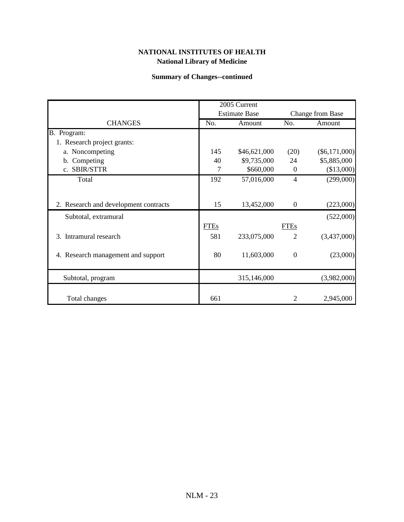## **Summary of Changes--continued**

|                                       |             | 2005 Current         |                  |                  |
|---------------------------------------|-------------|----------------------|------------------|------------------|
|                                       |             | <b>Estimate Base</b> |                  | Change from Base |
| <b>CHANGES</b>                        | No.         | Amount               | No.              | Amount           |
| B. Program:                           |             |                      |                  |                  |
| 1. Research project grants:           |             |                      |                  |                  |
| a. Noncompeting                       | 145         | \$46,621,000         | (20)             | $(\$6,171,000)$  |
| b. Competing                          | 40          | \$9,735,000          | 24               | \$5,885,000      |
| c. SBIR/STTR                          | 7           | \$660,000            | $\boldsymbol{0}$ | (\$13,000)       |
| Total                                 | 192         | 57,016,000           | 4                | (299,000)        |
|                                       |             |                      |                  |                  |
| 2. Research and development contracts | 15          | 13,452,000           | $\boldsymbol{0}$ | (223,000)        |
| Subtotal, extramural                  |             |                      |                  | (522,000)        |
|                                       | <b>FTEs</b> |                      | <b>FTEs</b>      |                  |
| 3. Intramural research                | 581         | 233,075,000          | $\overline{2}$   | (3,437,000)      |
| 4. Research management and support    | 80          | 11,603,000           | $\mathbf 0$      | (23,000)         |
| Subtotal, program                     |             | 315,146,000          |                  | (3,982,000)      |
| Total changes                         | 661         |                      | 2                | 2,945,000        |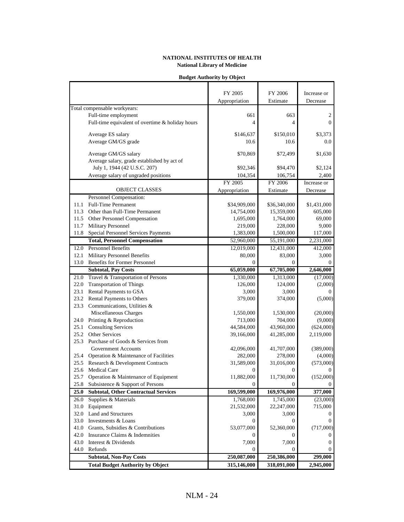| <b>Budget Authority by Object</b> |  |
|-----------------------------------|--|
|                                   |  |

|              |                                                                           | FY 2005               | FY 2006                    | Increase or         |
|--------------|---------------------------------------------------------------------------|-----------------------|----------------------------|---------------------|
|              |                                                                           | Appropriation         | Estimate                   | Decrease            |
|              | Total compensable workyears:                                              |                       |                            |                     |
|              | Full-time employment                                                      | 661                   | 663                        | 2                   |
|              | Full-time equivalent of overtime & holiday hours                          | 4                     | 4                          | $\Omega$            |
|              | Average ES salary                                                         | \$146,637             | \$150,010                  | \$3,373             |
|              | Average GM/GS grade                                                       | 10.6                  | 10.6                       | 0.0                 |
|              |                                                                           |                       |                            |                     |
|              | Average GM/GS salary                                                      | \$70,869              | \$72,499                   | \$1,630             |
|              | Average salary, grade established by act of                               |                       |                            |                     |
|              | July 1, 1944 (42 U.S.C. 207)                                              | \$92,346              | \$94,470                   | \$2,124             |
|              | Average salary of ungraded positions                                      | 104,354               | 106,754                    | 2,400               |
|              |                                                                           | FY 2005               | FY 2006                    | Increase or         |
|              | <b>OBJECT CLASSES</b>                                                     | Appropriation         | Estimate                   | Decrease            |
|              | Personnel Compensation:                                                   |                       |                            |                     |
| 11.1         | <b>Full-Time Permanent</b>                                                | \$34,909,000          | \$36,340,000               | \$1,431,000         |
|              | 11.3 Other than Full-Time Permanent                                       | 14,754,000            | 15,359,000                 | 605,000             |
|              | 11.5 Other Personnel Compensation                                         | 1,695,000             | 1,764,000                  | 69,000              |
| 11.7         | Military Personnel                                                        | 219,000               | 228,000                    | 9,000               |
| 11.8         | Special Personnel Services Payments                                       | 1,383,000             | 1,500,000                  | 117,000             |
|              | <b>Total, Personnel Compensation</b>                                      | 52,960,000            | 55,191,000                 | 2,231,000           |
| 12.0         | <b>Personnel Benefits</b>                                                 | 12,019,000            | 12,431,000                 | 412,000             |
| 12.1         | Military Personnel Benefits                                               | 80,000                | 83,000                     | 3,000               |
| 13.0         | <b>Benefits for Former Personnel</b>                                      | $\mathbf{0}$          | $\Omega$                   | 0                   |
|              | <b>Subtotal, Pay Costs</b>                                                | 65,059,000            | 67,705,000                 | 2,646,000           |
| 21.0         | Travel & Transportation of Persons                                        | 1,330,000             | 1,313,000                  | (17,000)            |
| 22.0         | <b>Transportation of Things</b>                                           | 126,000               | 124,000                    | (2,000)             |
|              | 23.1 Rental Payments to GSA                                               | 3,000                 | 3,000                      | 0                   |
|              | 23.2 Rental Payments to Others                                            | 379,000               | 374,000                    | (5,000)             |
| 23.3         | Communications, Utilities &                                               |                       |                            |                     |
|              | Miscellaneous Charges                                                     | 1,550,000             | 1,530,000                  | (20,000)            |
|              | 24.0 Printing & Reproduction                                              | 713,000               | 704,000                    | (9,000)             |
| 25.1         | <b>Consulting Services</b>                                                | 44,584,000            | 43,960,000                 | (624,000)           |
| 25.2         | Other Services                                                            | 39,166,000            | 41,285,000                 | 2,119,000           |
| 25.3         | Purchase of Goods & Services from<br><b>Government Accounts</b>           |                       |                            |                     |
|              |                                                                           | 42,096,000            | 41,707,000                 | (389,000)           |
| 25.4<br>25.5 | Operation & Maintenance of Facilities<br>Research & Development Contracts | 282,000<br>31,589,000 | 278,000                    | (4,000)             |
|              | 25.6 Medical Care                                                         | 0                     | 31,016,000<br>$\mathbf{0}$ | (573,000)<br>0      |
|              | 25.7 Operation & Maintenance of Equipment                                 | 11,882,000            | 11,730,000                 | (152,000)           |
| 25.8         | Subsistence & Support of Persons                                          | $\Omega$              |                            |                     |
| 25.0         | <b>Subtotal, Other Contractual Services</b>                               | 169,599,000           | 169,976,000                | 377,000             |
| 26.0         | Supplies & Materials                                                      | 1,768,000             | 1,745,000                  |                     |
| 31.0         | Equipment                                                                 | 21,532,000            | 22,247,000                 | (23,000)<br>715,000 |
|              | 32.0 Land and Structures                                                  | 3,000                 | 3,000                      | $_{0}$              |
|              | 33.0 Investments & Loans                                                  | 0                     | 0                          |                     |
| 41.0         | Grants, Subsidies & Contributions                                         | 53,077,000            | 52,360,000                 | (717,000)           |
| 42.0         | Insurance Claims & Indemnities                                            |                       |                            | $_{0}$              |
| 43.0         | Interest & Dividends                                                      | 7,000                 | 7,000                      | 0                   |
| 44.0         | Refunds                                                                   | 0                     | 0                          |                     |
|              | <b>Subtotal, Non-Pay Costs</b>                                            | 250,087,000           | 250,386,000                | 299,000             |
|              | <b>Total Budget Authority by Object</b>                                   |                       | 318,091,000                |                     |
|              |                                                                           | 315,146,000           |                            | 2,945,000           |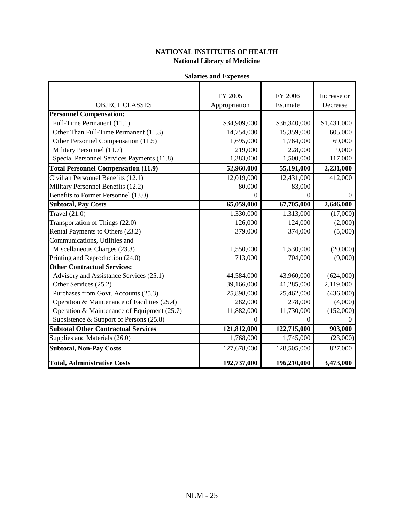|  | <b>Salaries and Expenses</b> |
|--|------------------------------|
|--|------------------------------|

|                                              | FY 2005       | FY 2006      | Increase or |
|----------------------------------------------|---------------|--------------|-------------|
| <b>OBJECT CLASSES</b>                        | Appropriation | Estimate     | Decrease    |
| <b>Personnel Compensation:</b>               |               |              |             |
| Full-Time Permanent (11.1)                   | \$34,909,000  | \$36,340,000 | \$1,431,000 |
| Other Than Full-Time Permanent (11.3)        | 14,754,000    | 15,359,000   | 605,000     |
| Other Personnel Compensation (11.5)          | 1,695,000     | 1,764,000    | 69,000      |
| Military Personnel (11.7)                    | 219,000       | 228,000      | 9,000       |
| Special Personnel Services Payments (11.8)   | 1,383,000     | 1,500,000    | 117,000     |
| <b>Total Personnel Compensation (11.9)</b>   | 52,960,000    | 55,191,000   | 2,231,000   |
| Civilian Personnel Benefits (12.1)           | 12,019,000    | 12,431,000   | 412,000     |
| Military Personnel Benefits (12.2)           | 80,000        | 83,000       |             |
| Benefits to Former Personnel (13.0)          | $\Omega$      | $\Omega$     | $\theta$    |
| <b>Subtotal, Pay Costs</b>                   | 65,059,000    | 67,705,000   | 2,646,000   |
| Travel $(21.0)$                              | 1,330,000     | 1,313,000    | (17,000)    |
| Transportation of Things (22.0)              | 126,000       | 124,000      | (2,000)     |
| Rental Payments to Others (23.2)             | 379,000       | 374,000      | (5,000)     |
| Communications, Utilities and                |               |              |             |
| Miscellaneous Charges (23.3)                 | 1,550,000     | 1,530,000    | (20,000)    |
| Printing and Reproduction (24.0)             | 713,000       | 704,000      | (9,000)     |
| <b>Other Contractual Services:</b>           |               |              |             |
| Advisory and Assistance Services (25.1)      | 44,584,000    | 43,960,000   | (624,000)   |
| Other Services (25.2)                        | 39,166,000    | 41,285,000   | 2,119,000   |
| Purchases from Govt. Accounts (25.3)         | 25,898,000    | 25,462,000   | (436,000)   |
| Operation & Maintenance of Facilities (25.4) | 282,000       | 278,000      | (4,000)     |
| Operation & Maintenance of Equipment (25.7)  | 11,882,000    | 11,730,000   | (152,000)   |
| Subsistence & Support of Persons $(25.8)$    | $\mathbf{0}$  | 0            |             |
| <b>Subtotal Other Contractual Services</b>   | 121,812,000   | 122,715,000  | 903,000     |
| Supplies and Materials (26.0)                | 1,768,000     | 1,745,000    | (23,000)    |
| <b>Subtotal, Non-Pay Costs</b>               | 127,678,000   | 128,505,000  | 827,000     |
| <b>Total, Administrative Costs</b>           | 192,737,000   | 196,210,000  | 3,473,000   |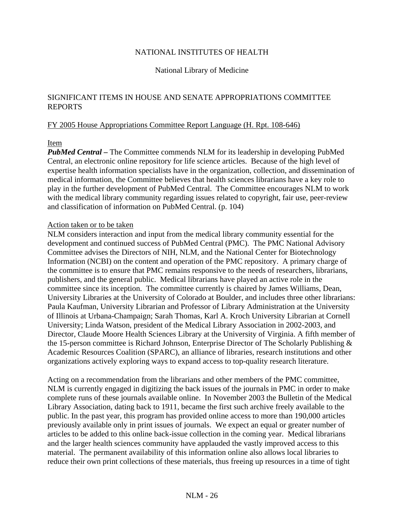### National Library of Medicine

### SIGNIFICANT ITEMS IN HOUSE AND SENATE APPROPRIATIONS COMMITTEE REPORTS

### FY 2005 House Appropriations Committee Report Language (H. Rpt. 108-646)

### Item

*PubMed Central –* The Committee commends NLM for its leadership in developing PubMed Central, an electronic online repository for life science articles. Because of the high level of expertise health information specialists have in the organization, collection, and dissemination of medical information, the Committee believes that health sciences librarians have a key role to play in the further development of PubMed Central. The Committee encourages NLM to work with the medical library community regarding issues related to copyright, fair use, peer-review and classification of information on PubMed Central. (p. 104)

### Action taken or to be taken

NLM considers interaction and input from the medical library community essential for the development and continued success of PubMed Central (PMC). The PMC National Advisory Committee advises the Directors of NIH, NLM, and the National Center for Biotechnology Information (NCBI) on the content and operation of the PMC repository. A primary charge of the committee is to ensure that PMC remains responsive to the needs of researchers, librarians, publishers, and the general public. Medical librarians have played an active role in the committee since its inception. The committee currently is chaired by James Williams, Dean, University Libraries at the University of Colorado at Boulder, and includes three other librarians: Paula Kaufman, University Librarian and Professor of Library Administration at the University of Illinois at Urbana-Champaign; Sarah Thomas, Karl A. Kroch University Librarian at Cornell University; Linda Watson, president of the Medical Library Association in 2002-2003, and Director, Claude Moore Health Sciences Library at the University of Virginia. A fifth member of the 15-person committee is Richard Johnson, Enterprise Director of The Scholarly Publishing & Academic Resources Coalition (SPARC), an alliance of libraries, research institutions and other organizations actively exploring ways to expand access to top-quality research literature.

Acting on a recommendation from the librarians and other members of the PMC committee, NLM is currently engaged in digitizing the back issues of the journals in PMC in order to make complete runs of these journals available online. In November 2003 the Bulletin of the Medical Library Association, dating back to 1911, became the first such archive freely available to the public. In the past year, this program has provided online access to more than 190,000 articles previously available only in print issues of journals. We expect an equal or greater number of articles to be added to this online back-issue collection in the coming year. Medical librarians and the larger health sciences community have applauded the vastly improved access to this material. The permanent availability of this information online also allows local libraries to reduce their own print collections of these materials, thus freeing up resources in a time of tight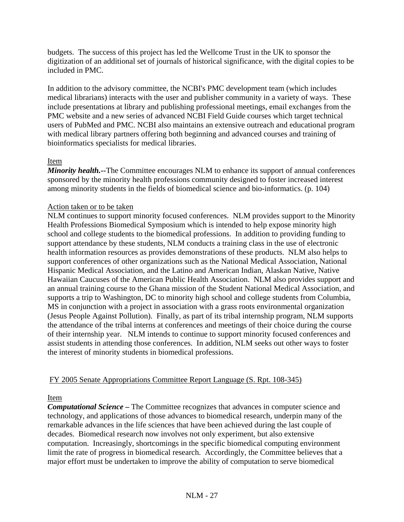budgets. The success of this project has led the Wellcome Trust in the UK to sponsor the digitization of an additional set of journals of historical significance, with the digital copies to be included in PMC.

In addition to the advisory committee, the NCBI's PMC development team (which includes medical librarians) interacts with the user and publisher community in a variety of ways. These include presentations at library and publishing professional meetings, email exchanges from the PMC website and a new series of advanced NCBI Field Guide courses which target technical users of PubMed and PMC. NCBI also maintains an extensive outreach and educational program with medical library partners offering both beginning and advanced courses and training of bioinformatics specialists for medical libraries.

## Item

*Minority health.*--The Committee encourages NLM to enhance its support of annual conferences sponsored by the minority health professions community designed to foster increased interest among minority students in the fields of biomedical science and bio-informatics. (p. 104)

## Action taken or to be taken

NLM continues to support minority focused conferences. NLM provides support to the Minority Health Professions Biomedical Symposium which is intended to help expose minority high school and college students to the biomedical professions. In addition to providing funding to support attendance by these students, NLM conducts a training class in the use of electronic health information resources as provides demonstrations of these products. NLM also helps to support conferences of other organizations such as the National Medical Association, National Hispanic Medical Association, and the Latino and American Indian, Alaskan Native, Native Hawaiian Caucuses of the American Public Health Association. NLM also provides support and an annual training course to the Ghana mission of the Student National Medical Association, and supports a trip to Washington, DC to minority high school and college students from Columbia, MS in conjunction with a project in association with a grass roots environmental organization (Jesus People Against Pollution). Finally, as part of its tribal internship program, NLM supports the attendance of the tribal interns at conferences and meetings of their choice during the course of their internship year. NLM intends to continue to support minority focused conferences and assist students in attending those conferences. In addition, NLM seeks out other ways to foster the interest of minority students in biomedical professions.

## FY 2005 Senate Appropriations Committee Report Language (S. Rpt. 108-345)

## Item

*Computational Science –* The Committee recognizes that advances in computer science and technology, and applications of those advances to biomedical research, underpin many of the remarkable advances in the life sciences that have been achieved during the last couple of decades. Biomedical research now involves not only experiment, but also extensive computation. Increasingly, shortcomings in the specific biomedical computing environment limit the rate of progress in biomedical research. Accordingly, the Committee believes that a major effort must be undertaken to improve the ability of computation to serve biomedical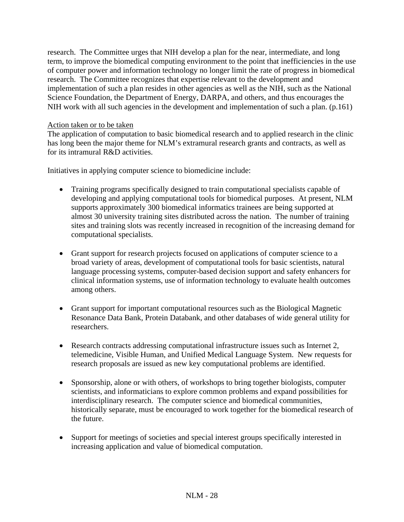research. The Committee urges that NIH develop a plan for the near, intermediate, and long term, to improve the biomedical computing environment to the point that inefficiencies in the use of computer power and information technology no longer limit the rate of progress in biomedical research. The Committee recognizes that expertise relevant to the development and implementation of such a plan resides in other agencies as well as the NIH, such as the National Science Foundation, the Department of Energy, DARPA, and others, and thus encourages the NIH work with all such agencies in the development and implementation of such a plan. (p.161)

### Action taken or to be taken

The application of computation to basic biomedical research and to applied research in the clinic has long been the major theme for NLM's extramural research grants and contracts, as well as for its intramural R&D activities.

Initiatives in applying computer science to biomedicine include:

- Training programs specifically designed to train computational specialists capable of developing and applying computational tools for biomedical purposes. At present, NLM supports approximately 300 biomedical informatics trainees are being supported at almost 30 university training sites distributed across the nation. The number of training sites and training slots was recently increased in recognition of the increasing demand for computational specialists.
- Grant support for research projects focused on applications of computer science to a broad variety of areas, development of computational tools for basic scientists, natural language processing systems, computer-based decision support and safety enhancers for clinical information systems, use of information technology to evaluate health outcomes among others.
- Grant support for important computational resources such as the Biological Magnetic Resonance Data Bank, Protein Databank, and other databases of wide general utility for researchers.
- Research contracts addressing computational infrastructure issues such as Internet 2, telemedicine, Visible Human, and Unified Medical Language System. New requests for research proposals are issued as new key computational problems are identified.
- Sponsorship, alone or with others, of workshops to bring together biologists, computer scientists, and informaticians to explore common problems and expand possibilities for interdisciplinary research. The computer science and biomedical communities, historically separate, must be encouraged to work together for the biomedical research of the future.
- Support for meetings of societies and special interest groups specifically interested in increasing application and value of biomedical computation.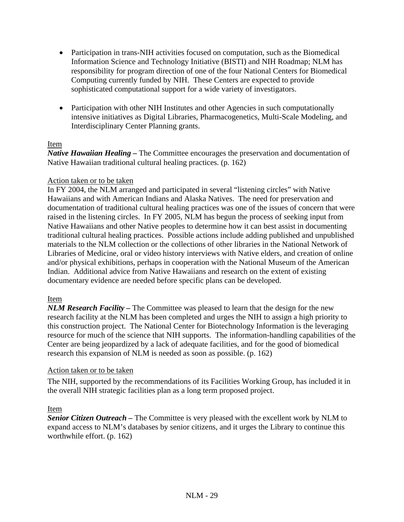- Participation in trans-NIH activities focused on computation, such as the Biomedical Information Science and Technology Initiative (BISTI) and NIH Roadmap; NLM has responsibility for program direction of one of the four National Centers for Biomedical Computing currently funded by NIH. These Centers are expected to provide sophisticated computational support for a wide variety of investigators.
- Participation with other NIH Institutes and other Agencies in such computationally intensive initiatives as Digital Libraries, Pharmacogenetics, Multi-Scale Modeling, and Interdisciplinary Center Planning grants.

## Item

*Native Hawaiian Healing –* The Committee encourages the preservation and documentation of Native Hawaiian traditional cultural healing practices. (p. 162)

### Action taken or to be taken

In FY 2004, the NLM arranged and participated in several "listening circles" with Native Hawaiians and with American Indians and Alaska Natives. The need for preservation and documentation of traditional cultural healing practices was one of the issues of concern that were raised in the listening circles. In FY 2005, NLM has begun the process of seeking input from Native Hawaiians and other Native peoples to determine how it can best assist in documenting traditional cultural healing practices. Possible actions include adding published and unpublished materials to the NLM collection or the collections of other libraries in the National Network of Libraries of Medicine, oral or video history interviews with Native elders, and creation of online and/or physical exhibitions, perhaps in cooperation with the National Museum of the American Indian. Additional advice from Native Hawaiians and research on the extent of existing documentary evidence are needed before specific plans can be developed.

### Item

*NLM Research Facility –* The Committee was pleased to learn that the design for the new research facility at the NLM has been completed and urges the NIH to assign a high priority to this construction project. The National Center for Biotechnology Information is the leveraging resource for much of the science that NIH supports. The information-handling capabilities of the Center are being jeopardized by a lack of adequate facilities, and for the good of biomedical research this expansion of NLM is needed as soon as possible. (p. 162)

### Action taken or to be taken

The NIH, supported by the recommendations of its Facilities Working Group, has included it in the overall NIH strategic facilities plan as a long term proposed project.

### Item

*Senior Citizen Outreach –* The Committee is very pleased with the excellent work by NLM to expand access to NLM's databases by senior citizens, and it urges the Library to continue this worthwhile effort. (p. 162)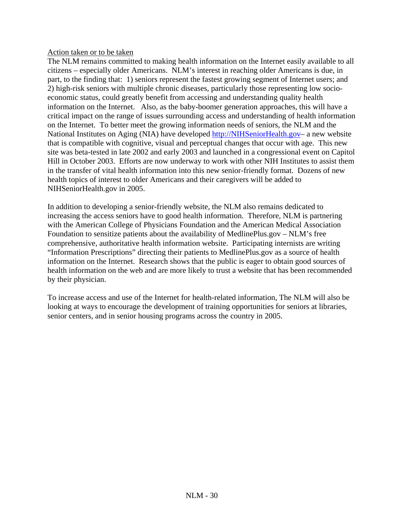Action taken or to be taken

The NLM remains committed to making health information on the Internet easily available to all citizens – especially older Americans. NLM's interest in reaching older Americans is due, in part, to the finding that: 1) seniors represent the fastest growing segment of Internet users; and 2) high-risk seniors with multiple chronic diseases, particularly those representing low socioeconomic status, could greatly benefit from accessing and understanding quality health information on the Internet. Also, as the baby-boomer generation approaches, this will have a critical impact on the range of issues surrounding access and understanding of health information on the Internet. To better meet the growing information needs of seniors, the NLM and the National Institutes on Aging (NIA) have developed http://NIHSeniorHealth.gov– a new website that is compatible with cognitive, visual and perceptual changes that occur with age. This new site was beta-tested in late 2002 and early 2003 and launched in a congressional event on Capitol Hill in October 2003. Efforts are now underway to work with other NIH Institutes to assist them in the transfer of vital health information into this new senior-friendly format. Dozens of new health topics of interest to older Americans and their caregivers will be added to NIHSeniorHealth.gov in 2005.

In addition to developing a senior-friendly website, the NLM also remains dedicated to increasing the access seniors have to good health information. Therefore, NLM is partnering with the American College of Physicians Foundation and the American Medical Association Foundation to sensitize patients about the availability of MedlinePlus.gov – NLM's free comprehensive, authoritative health information website. Participating internists are writing "Information Prescriptions" directing their patients to MedlinePlus.gov as a source of health information on the Internet. Research shows that the public is eager to obtain good sources of health information on the web and are more likely to trust a website that has been recommended by their physician.

To increase access and use of the Internet for health-related information, The NLM will also be looking at ways to encourage the development of training opportunities for seniors at libraries, senior centers, and in senior housing programs across the country in 2005.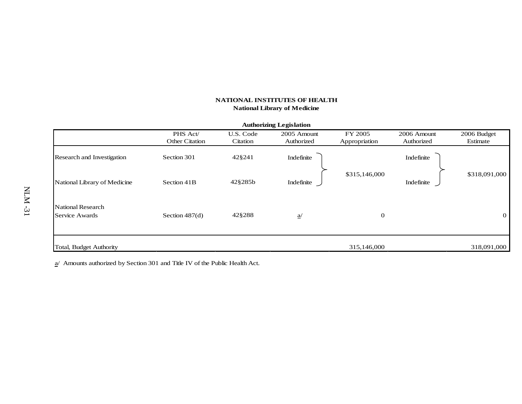|                                |                |           | <b>Authorizing Legislation</b> |               |             |                |
|--------------------------------|----------------|-----------|--------------------------------|---------------|-------------|----------------|
|                                | PHS Act/       | U.S. Code | 2005 Amount                    | FY 2005       | 2006 Amount | 2006 Budget    |
|                                | Other Citation | Citation  | Authorized                     | Appropriation | Authorized  | Estimate       |
| Research and Investigation     | Section 301    | 42§241    | Indefinite                     |               | Indefinite  |                |
| National Library of Medicine   | Section 41B    | 42§285b   | Indefinite                     | \$315,146,000 | Indefinite  | \$318,091,000  |
| National Research              |                |           |                                |               |             |                |
| Service Awards                 | Section 487(d) | 42§288    | $\underline{a}$                | $\mathbf{0}$  |             | $\overline{0}$ |
| <b>Total, Budget Authority</b> |                |           |                                | 315,146,000   |             | 318,091,000    |

 $a/$  Amounts authorized by Section 301 and Title IV of the Public Health Act.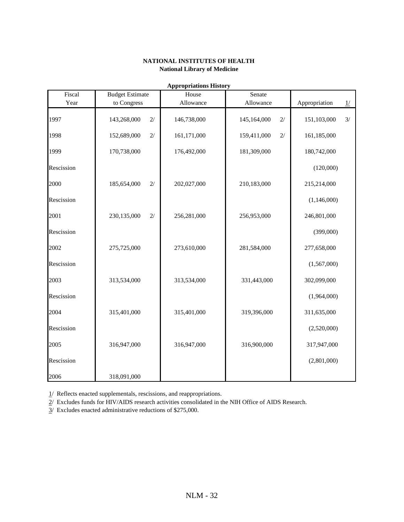| Fiscal     | <b>Budget Estimate</b> | трргоргановы твогд<br>House | Senate            |                     |
|------------|------------------------|-----------------------------|-------------------|---------------------|
| Year       | to Congress            | Allowance                   | Allowance         | Appropriation<br>1/ |
| 1997       | 143,268,000<br>2/      | 146,738,000                 | 145,164,000<br>2/ | 3/<br>151,103,000   |
| 1998       | 2/<br>152,689,000      | 161,171,000                 | 159,411,000<br>2/ | 161,185,000         |
| 1999       | 170,738,000            | 176,492,000                 | 181,309,000       | 180,742,000         |
| Rescission |                        |                             |                   | (120,000)           |
| 2000       | 185,654,000<br>2/      | 202,027,000                 | 210,183,000       | 215,214,000         |
| Rescission |                        |                             |                   | (1,146,000)         |
| 2001       | 2/<br>230,135,000      | 256,281,000                 | 256,953,000       | 246,801,000         |
| Rescission |                        |                             |                   | (399,000)           |
| 2002       | 275,725,000            | 273,610,000                 | 281,584,000       | 277,658,000         |
| Rescission |                        |                             |                   | (1,567,000)         |
| 2003       | 313,534,000            | 313,534,000                 | 331,443,000       | 302,099,000         |
| Rescission |                        |                             |                   | (1,964,000)         |
| 2004       | 315,401,000            | 315,401,000                 | 319,396,000       | 311,635,000         |
| Rescission |                        |                             |                   | (2,520,000)         |
| 2005       | 316,947,000            | 316,947,000                 | 316,900,000       | 317,947,000         |
| Rescission |                        |                             |                   | (2,801,000)         |
| 2006       | 318,091,000            |                             |                   |                     |

**Appropriations History**

1/ Reflects enacted supplementals, rescissions, and reappropriations.

2/ Excludes funds for HIV/AIDS research activities consolidated in the NIH Office of AIDS Research.

3/ Excludes enacted administrative reductions of \$275,000.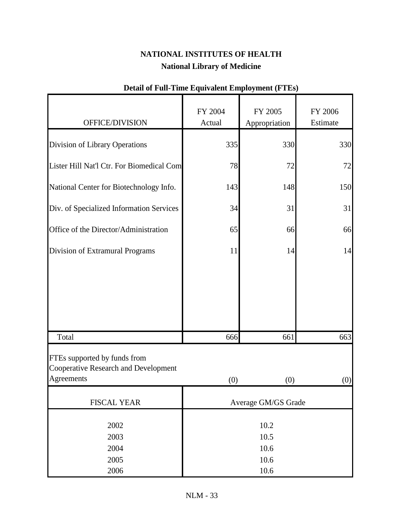|                                                                                    | FY 2004              | FY 2005             | FY 2006  |
|------------------------------------------------------------------------------------|----------------------|---------------------|----------|
| OFFICE/DIVISION                                                                    | Actual               | Appropriation       | Estimate |
| Division of Library Operations                                                     | 335                  | 330                 | 330      |
| Lister Hill Nat'l Ctr. For Biomedical Com                                          | 78                   | 72                  | 72       |
| National Center for Biotechnology Info.                                            | 143                  | 148                 | 150      |
| Div. of Specialized Information Services                                           | 34                   | 31                  | 31       |
| Office of the Director/Administration                                              | 65                   | 66                  | 66       |
| Division of Extramural Programs                                                    | 11                   | 14                  | 14       |
|                                                                                    |                      |                     |          |
| Total                                                                              | 666                  | 661                 | 663      |
| FTEs supported by funds from<br>Cooperative Research and Development<br>Agreements | (0)                  | (0)                 | (0)      |
| <b>FISCAL YEAR</b>                                                                 |                      | Average GM/GS Grade |          |
| 2002<br>2003<br>2004                                                               | 10.2<br>10.5<br>10.6 |                     |          |
| 2005<br>2006                                                                       |                      | 10.6<br>10.6        |          |

# **Detail of Full-Time Equivalent Employment (FTEs)**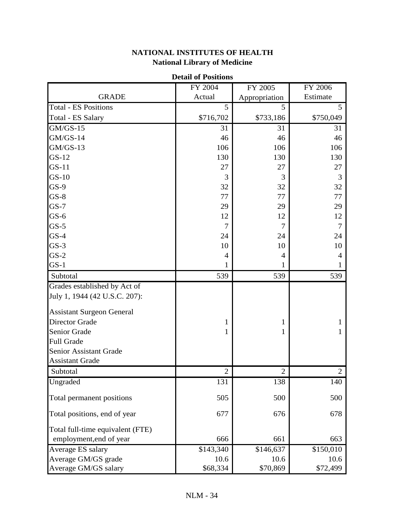# **Detail of Positions** FY 2004 FY 2005 FY 2006 GRADE **Actual** Appropriation Estimate Total - ES Positions 5 5 5 Total - ES Salary \$716,702 \$733,186 \$750,049 GM/GS-15 31 31 31 31 GM/GS-14 46 46 46 GM/GS-13 106 106 106 106 106 GS-12 130 130 130 130 GS-11 27 27 27 27 GS-10 3 3 3 3 GS-9 32 32 32 32 32 GS-8 77 77 77 GS-7 29 29 29 GS-6 12 12 12 12 GS-5 77 7 GS-4 24 24 24 GS-3 10 10 10 10 GS-2 444 GS-1 111 Subtotal 539 539 539 539 Grades established by Act of July 1, 1944 (42 U.S.C. 207): Assistant Surgeon General Director Grade 1 1 1 Senior Grade 1 1 1 Full Grade Senior Assistant Grade Assistant Grade Subtotal 2 2 2 2 2 Ungraded 131 138 140 Total permanent positions 505 500 500 500 500 Total positions, end of year 677 677 678 678 Total full-time equivalent (FTE) employment,end of year 666 661 663 Average ES salary \$143,340 \$146,637 \$150,010 Average GM/GS grade 10.6 10.6 10.6 10.6 Average GM/GS salary **\$68,334** \$70,869 \$72,499

## **NATIONAL INSTITUTES OF HEALTH National Library of Medicine**